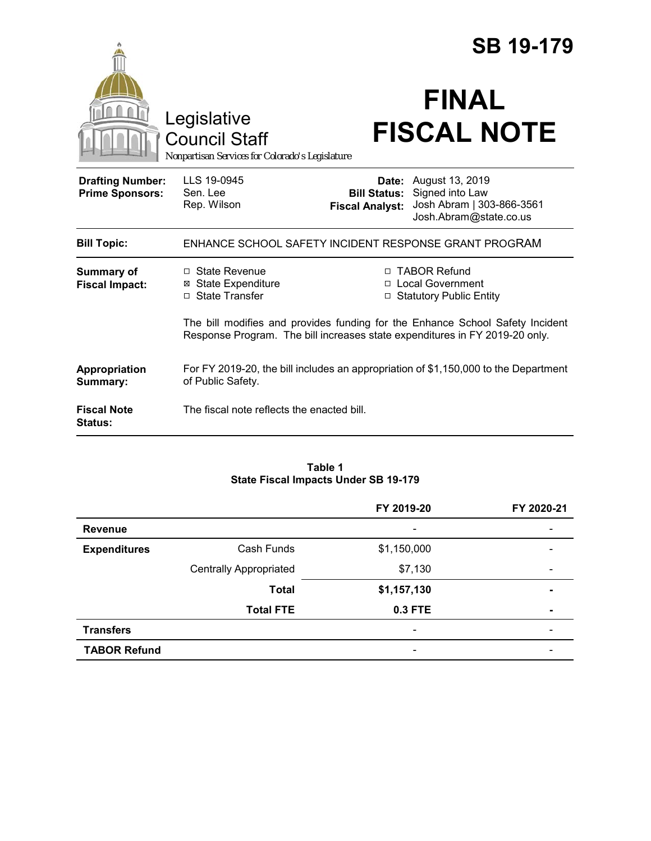|                                                   |                                                                                                                                                              |                        | <b>SB 19-179</b>                                                                                                           |  |  |
|---------------------------------------------------|--------------------------------------------------------------------------------------------------------------------------------------------------------------|------------------------|----------------------------------------------------------------------------------------------------------------------------|--|--|
|                                                   | Legislative<br><b>Council Staff</b><br>Nonpartisan Services for Colorado's Legislature                                                                       |                        | <b>FINAL</b><br><b>FISCAL NOTE</b>                                                                                         |  |  |
| <b>Drafting Number:</b><br><b>Prime Sponsors:</b> | LLS 19-0945<br>Sen. Lee<br>Rep. Wilson                                                                                                                       | <b>Fiscal Analyst:</b> | <b>Date:</b> August 13, 2019<br><b>Bill Status:</b> Signed into Law<br>Josh Abram   303-866-3561<br>Josh.Abram@state.co.us |  |  |
| <b>Bill Topic:</b>                                | ENHANCE SCHOOL SAFETY INCIDENT RESPONSE GRANT PROGRAM                                                                                                        |                        |                                                                                                                            |  |  |
| <b>Summary of</b><br><b>Fiscal Impact:</b>        | $\Box$ State Revenue<br><b>⊠</b> State Expenditure<br>□ State Transfer                                                                                       | □                      | □ TABOR Refund<br>□ Local Government<br><b>Statutory Public Entity</b>                                                     |  |  |
|                                                   | The bill modifies and provides funding for the Enhance School Safety Incident<br>Response Program. The bill increases state expenditures in FY 2019-20 only. |                        |                                                                                                                            |  |  |
| Appropriation<br>Summary:                         | For FY 2019-20, the bill includes an appropriation of \$1,150,000 to the Department<br>of Public Safety.                                                     |                        |                                                                                                                            |  |  |
| <b>Fiscal Note</b><br><b>Status:</b>              | The fiscal note reflects the enacted bill.                                                                                                                   |                        |                                                                                                                            |  |  |

#### **Table 1 State Fiscal Impacts Under SB 19-179**

|                     |                               | FY 2019-20                   | FY 2020-21 |
|---------------------|-------------------------------|------------------------------|------------|
| <b>Revenue</b>      |                               | -                            |            |
| <b>Expenditures</b> | Cash Funds                    | \$1,150,000                  |            |
|                     | <b>Centrally Appropriated</b> | \$7,130                      |            |
|                     | <b>Total</b>                  | \$1,157,130                  | -          |
|                     | <b>Total FTE</b>              | 0.3 FTE                      |            |
| <b>Transfers</b>    |                               | $\qquad \qquad \blacksquare$ |            |
| <b>TABOR Refund</b> |                               |                              |            |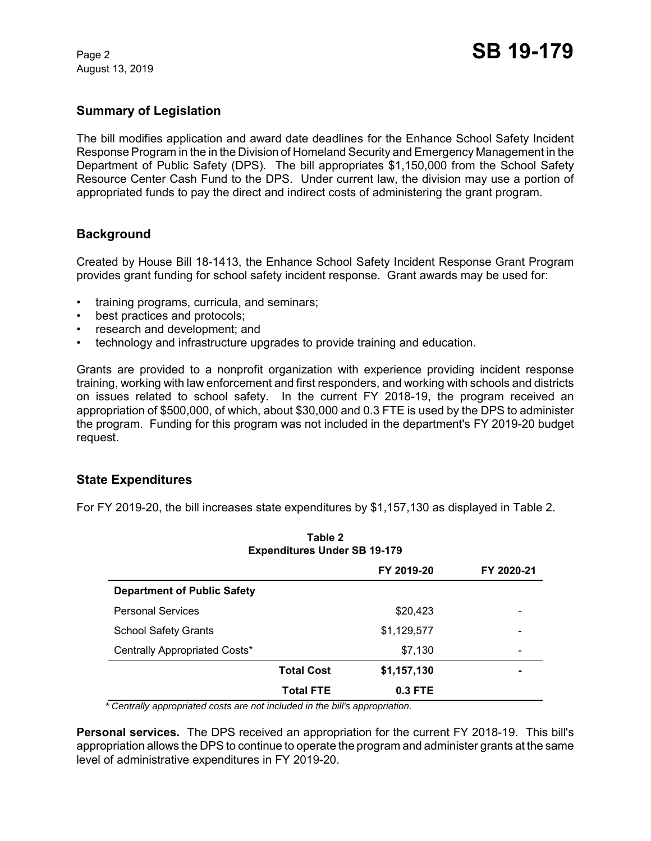August 13, 2019

# **Summary of Legislation**

The bill modifies application and award date deadlines for the Enhance School Safety Incident Response Program in the in the Division of Homeland Security and Emergency Management in the Department of Public Safety (DPS). The bill appropriates \$1,150,000 from the School Safety Resource Center Cash Fund to the DPS. Under current law, the division may use a portion of appropriated funds to pay the direct and indirect costs of administering the grant program.

# **Background**

Created by House Bill 18-1413, the Enhance School Safety Incident Response Grant Program provides grant funding for school safety incident response. Grant awards may be used for:

- training programs, curricula, and seminars;
- best practices and protocols;
- research and development; and
- technology and infrastructure upgrades to provide training and education.

Grants are provided to a nonprofit organization with experience providing incident response training, working with law enforcement and first responders, and working with schools and districts on issues related to school safety. In the current FY 2018-19, the program received an appropriation of \$500,000, of which, about \$30,000 and 0.3 FTE is used by the DPS to administer the program. Funding for this program was not included in the department's FY 2019-20 budget request.

### **State Expenditures**

For FY 2019-20, the bill increases state expenditures by \$1,157,130 as displayed in Table 2.

**Table 2**

| I UMIG A<br><b>Expenditures Under SB 19-179</b> |                   |             |            |  |  |
|-------------------------------------------------|-------------------|-------------|------------|--|--|
|                                                 |                   | FY 2019-20  | FY 2020-21 |  |  |
| <b>Department of Public Safety</b>              |                   |             |            |  |  |
| <b>Personal Services</b>                        |                   | \$20,423    |            |  |  |
| <b>School Safety Grants</b>                     |                   | \$1,129,577 |            |  |  |
| Centrally Appropriated Costs*                   |                   | \$7,130     |            |  |  |
|                                                 | <b>Total Cost</b> | \$1,157,130 |            |  |  |
|                                                 | <b>Total FTE</b>  | $0.3$ FTE   |            |  |  |

 *\* Centrally appropriated costs are not included in the bill's appropriation.*

**Personal services.** The DPS received an appropriation for the current FY 2018-19. This bill's appropriation allows the DPS to continue to operate the program and administer grants at the same level of administrative expenditures in FY 2019-20.